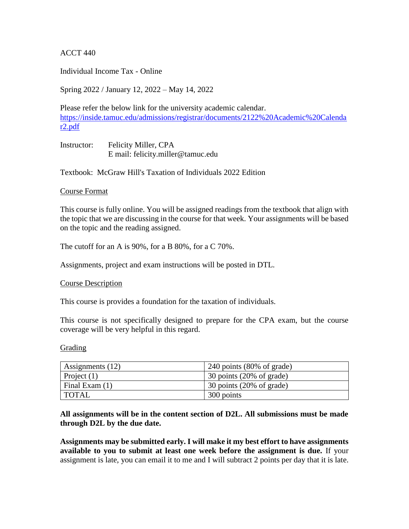ACCT 440

Individual Income Tax - Online

Spring 2022 / January 12, 2022 – May 14, 2022

Please refer the below link for the university academic calendar. [https://inside.tamuc.edu/admissions/registrar/documents/2122%20Academic%20Calenda](https://inside.tamuc.edu/admissions/registrar/documents/2122%20Academic%20Calendar2.pdf) [r2.pdf](https://inside.tamuc.edu/admissions/registrar/documents/2122%20Academic%20Calendar2.pdf)

Instructor: Felicity Miller, CPA E mail: felicity.miller@tamuc.edu

Textbook: McGraw Hill's Taxation of Individuals 2022 Edition

#### Course Format

This course is fully online. You will be assigned readings from the textbook that align with the topic that we are discussing in the course for that week. Your assignments will be based on the topic and the reading assigned.

The cutoff for an A is 90%, for a B 80%, for a C 70%.

Assignments, project and exam instructions will be posted in DTL.

Course Description

This course is provides a foundation for the taxation of individuals.

This course is not specifically designed to prepare for the CPA exam, but the course coverage will be very helpful in this regard.

Grading

| Assignments (12) | $240$ points (80% of grade) |
|------------------|-----------------------------|
| Project $(1)$    | 30 points (20% of grade)    |
| Final Exam (1)   | 30 points (20% of grade)    |
| <b>TOTAL</b>     | 300 points                  |

## **All assignments will be in the content section of D2L. All submissions must be made through D2L by the due date.**

**Assignments may be submitted early. I will make it my best effort to have assignments available to you to submit at least one week before the assignment is due.** If your assignment is late, you can email it to me and I will subtract 2 points per day that it is late.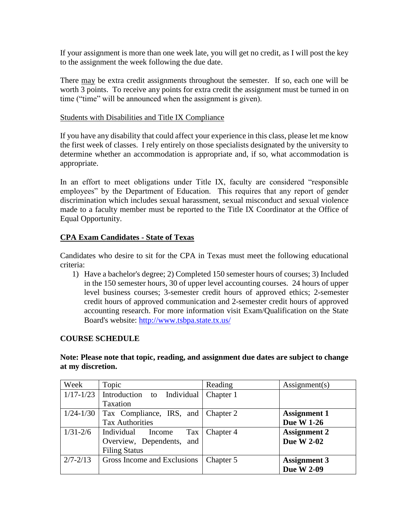If your assignment is more than one week late, you will get no credit, as I will post the key to the assignment the week following the due date.

There may be extra credit assignments throughout the semester. If so, each one will be worth 3 points. To receive any points for extra credit the assignment must be turned in on time ("time" will be announced when the assignment is given).

#### Students with Disabilities and Title IX Compliance

If you have any disability that could affect your experience in this class, please let me know the first week of classes. I rely entirely on those specialists designated by the university to determine whether an accommodation is appropriate and, if so, what accommodation is appropriate.

In an effort to meet obligations under Title IX, faculty are considered "responsible employees" by the Department of Education. This requires that any report of gender discrimination which includes sexual harassment, sexual misconduct and sexual violence made to a faculty member must be reported to the Title IX Coordinator at the Office of Equal Opportunity.

## **CPA Exam Candidates - State of Texas**

Candidates who desire to sit for the CPA in Texas must meet the following educational criteria:

1) Have a bachelor's degree; 2) Completed 150 semester hours of courses; 3) Included in the 150 semester hours, 30 of upper level accounting courses. 24 hours of upper level business courses; 3-semester credit hours of approved ethics; 2-semester credit hours of approved communication and 2-semester credit hours of approved accounting research. For more information visit Exam/Qualification on the State Board's website: [http://www.tsbpa.state.tx.us/](https://outlook.tamuc.edu/owa/redir.aspx?C=aPc9gzp7gJgvHT4DL5dIKuKZhpipbeozyiDaFDNx_dvJ0Qn_KmXWCA..&URL=http%3a%2f%2fwww.tsbpa.state.tx.us%2f)

## **COURSE SCHEDULE**

# **Note: Please note that topic, reading, and assignment due dates are subject to change at my discretion.**

| Week          | Topic                              | Reading   | $\text{Assignment}(s)$ |
|---------------|------------------------------------|-----------|------------------------|
| $1/17 - 1/23$ | Introduction to Individual         | Chapter 1 |                        |
|               | Taxation                           |           |                        |
| $1/24 - 1/30$ | Tax Compliance, IRS, and Chapter 2 |           | <b>Assignment 1</b>    |
|               | <b>Tax Authorities</b>             |           | <b>Due W 1-26</b>      |
| $1/31 - 2/6$  | Individual<br>Tax<br>Income        | Chapter 4 | <b>Assignment 2</b>    |
|               | Overview, Dependents,<br>and       |           | <b>Due W 2-02</b>      |
|               | <b>Filing Status</b>               |           |                        |
| $2/7 - 2/13$  | Gross Income and Exclusions        | Chapter 5 | <b>Assignment 3</b>    |
|               |                                    |           | <b>Due W 2-09</b>      |